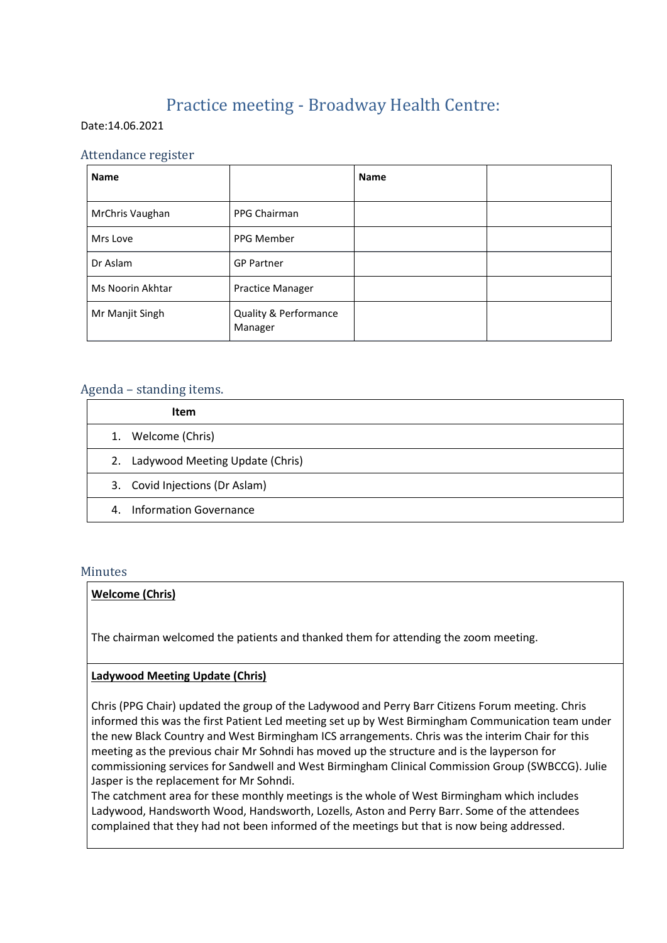# Practice meeting - Broadway Health Centre:

#### Date:14.06.2021

# Attendance register

| <b>Name</b>      |                                  | <b>Name</b> |  |
|------------------|----------------------------------|-------------|--|
| MrChris Vaughan  | PPG Chairman                     |             |  |
| Mrs Love         | PPG Member                       |             |  |
| Dr Aslam         | <b>GP Partner</b>                |             |  |
| Ms Noorin Akhtar | <b>Practice Manager</b>          |             |  |
| Mr Manjit Singh  | Quality & Performance<br>Manager |             |  |

# Agenda – standing items.

|    | Item                               |
|----|------------------------------------|
| 1. | Welcome (Chris)                    |
|    | 2. Ladywood Meeting Update (Chris) |
|    | 3. Covid Injections (Dr Aslam)     |
| 4. | Information Governance             |

#### Minutes

#### **Welcome (Chris)**

The chairman welcomed the patients and thanked them for attending the zoom meeting.

#### **Ladywood Meeting Update (Chris)**

Chris (PPG Chair) updated the group of the Ladywood and Perry Barr Citizens Forum meeting. Chris informed this was the first Patient Led meeting set up by West Birmingham Communication team under the new Black Country and West Birmingham ICS arrangements. Chris was the interim Chair for this meeting as the previous chair Mr Sohndi has moved up the structure and is the layperson for commissioning services for Sandwell and West Birmingham Clinical Commission Group (SWBCCG). Julie Jasper is the replacement for Mr Sohndi.

The catchment area for these monthly meetings is the whole of West Birmingham which includes Ladywood, Handsworth Wood, Handsworth, Lozells, Aston and Perry Barr. Some of the attendees complained that they had not been informed of the meetings but that is now being addressed.